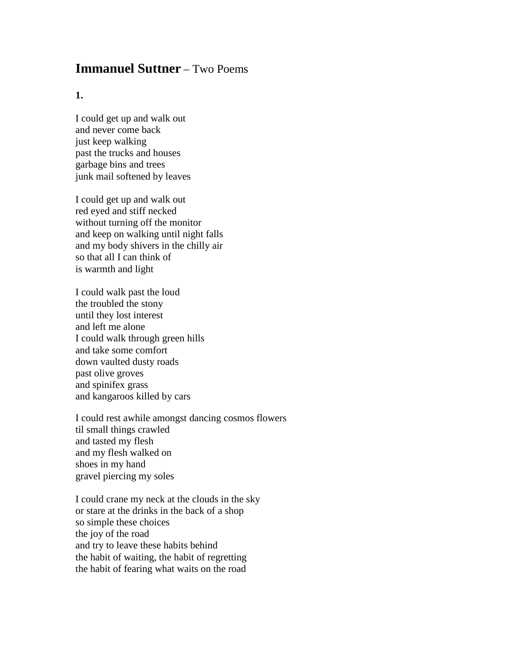## **Immanuel Suttner** – Two Poems

## **1.**

I could get up and walk out and never come back just keep walking past the trucks and houses garbage bins and trees junk mail softened by leaves

I could get up and walk out red eyed and stiff necked without turning off the monitor and keep on walking until night falls and my body shivers in the chilly air so that all I can think of is warmth and light

I could walk past the loud the troubled the stony until they lost interest and left me alone I could walk through green hills and take some comfort down vaulted dusty roads past olive groves and spinifex grass and kangaroos killed by cars

I could rest awhile amongst dancing cosmos flowers til small things crawled and tasted my flesh and my flesh walked on shoes in my hand gravel piercing my soles

I could crane my neck at the clouds in the sky or stare at the drinks in the back of a shop so simple these choices the joy of the road and try to leave these habits behind the habit of waiting, the habit of regretting the habit of fearing what waits on the road